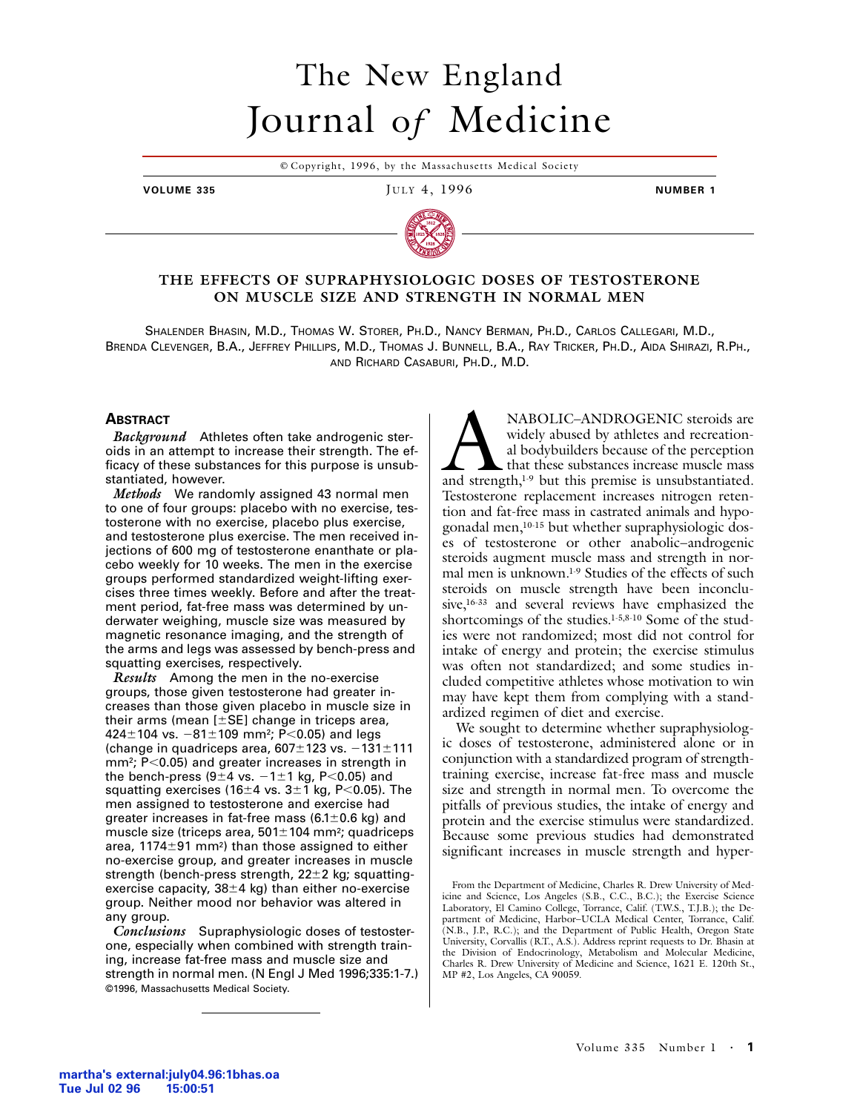# The New England Journal o*f* Medicine

© Copyright, 1996, by the Massachusetts Medical Society

**VOLUME 335** JULY 4, 1996 **NUMBER 1**



# **THE EFFECTS OF SUPRAPHYSIOLOGIC DOSES OF TESTOSTERONE ON MUSCLE SIZE AND STRENGTH IN NORMAL MEN**

SHALENDER BHASIN, M.D., THOMAS W. STORER, PH.D., NANCY BERMAN, PH.D., CARLOS CALLEGARI, M.D., BRENDA CLEVENGER, B.A., JEFFREY PHILLIPS, M.D., THOMAS J. BUNNELL, B.A., RAY TRICKER, PH.D., AIDA SHIRAZI, R.PH., AND RICHARD CASABURI, PH.D., M.D.

# **ABSTRACT**

*Background* Athletes often take androgenic steroids in an attempt to increase their strength. The efficacy of these substances for this purpose is unsubstantiated, however.

*Methods* We randomly assigned 43 normal men to one of four groups: placebo with no exercise, testosterone with no exercise, placebo plus exercise, and testosterone plus exercise. The men received injections of 600 mg of testosterone enanthate or placebo weekly for 10 weeks. The men in the exercise groups performed standardized weight-lifting exercises three times weekly. Before and after the treatment period, fat-free mass was determined by underwater weighing, muscle size was measured by magnetic resonance imaging, and the strength of the arms and legs was assessed by bench-press and squatting exercises, respectively.

*Results* Among the men in the no-exercise groups, those given testosterone had greater increases than those given placebo in muscle size in their arms (mean  $[\pm S E]$  change in triceps area, 424 $\pm$ 104 vs.  $-81\pm109$  mm<sup>2</sup>; P<0.05) and legs (change in quadriceps area,  $607 \pm 123$  vs.  $-131 \pm 111$  $mm<sub>2</sub>$ ; P $<$ 0.05) and greater increases in strength in the bench-press (9 $\pm$ 4 vs.  $-1\pm$ 1 kg, P<0.05) and squatting exercises (16 $\pm$ 4 vs. 3 $\pm$ 1 kg, P $<$ 0.05). The men assigned to testosterone and exercise had greater increases in fat-free mass  $(6.1 \pm 0.6 \text{ kg})$  and muscle size (triceps area,  $501±104$  mm<sup>2</sup>; quadriceps area,  $1174 \pm 91$  mm<sup>2</sup>) than those assigned to either no-exercise group, and greater increases in muscle strength (bench-press strength,  $22\pm 2$  kg; squattingexercise capacity,  $38\pm4$  kg) than either no-exercise group. Neither mood nor behavior was altered in any group.

*Conclusions* Supraphysiologic doses of testosterone, especially when combined with strength training, increase fat-free mass and muscle size and strength in normal men. (N Engl J Med 1996;335:1-7.) ©1996, Massachusetts Medical Society.

NABOLIC–ANDROGENIC steroids are widely abused by athletes and recreational bodybuilders because of the perception that these substances increase muscle mass MABOLIC-ANDROGENIC steroids are<br>widely abused by athletes and recreation-<br>al bodybuilders because of the perception<br>that these substances increase muscle mass<br>and strength,<sup>1-9</sup> but this premise is unsubstantiated. Testosterone replacement increases nitrogen retention and fat-free mass in castrated animals and hypogonadal men,10-15 but whether supraphysiologic doses of testosterone or other anabolic–androgenic steroids augment muscle mass and strength in normal men is unknown.<sup>1-9</sup> Studies of the effects of such steroids on muscle strength have been inconclusive,16-33 and several reviews have emphasized the shortcomings of the studies.1-5,8-10 Some of the studies were not randomized; most did not control for intake of energy and protein; the exercise stimulus was often not standardized; and some studies included competitive athletes whose motivation to win may have kept them from complying with a standardized regimen of diet and exercise.

We sought to determine whether supraphysiologic doses of testosterone, administered alone or in conjunction with a standardized program of strengthtraining exercise, increase fat-free mass and muscle size and strength in normal men. To overcome the pitfalls of previous studies, the intake of energy and protein and the exercise stimulus were standardized. Because some previous studies had demonstrated significant increases in muscle strength and hyper-

From the Department of Medicine, Charles R. Drew University of Medicine and Science, Los Angeles (S.B., C.C., B.C.); the Exercise Science Laboratory, El Camino College, Torrance, Calif. (T.W.S., T.J.B.); the Department of Medicine, Harbor–UCLA Medical Center, Torrance, Calif. (N.B., J.P., R.C.); and the Department of Public Health, Oregon State University, Corvallis (R.T., A.S.). Address reprint requests to Dr. Bhasin at the Division of Endocrinology, Metabolism and Molecular Medicine, Charles R. Drew University of Medicine and Science, 1621 E. 120th St., MP #2, Los Angeles, CA 90059.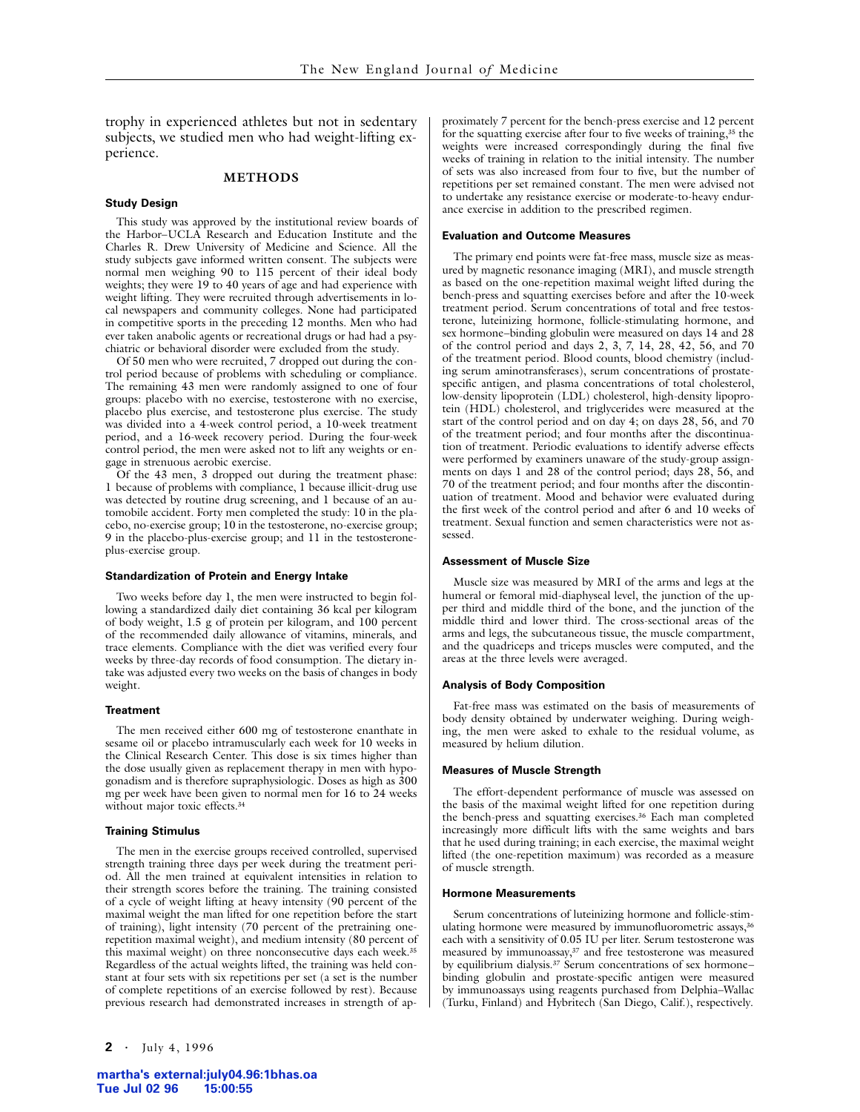trophy in experienced athletes but not in sedentary subjects, we studied men who had weight-lifting experience.

# **METHODS**

#### **Study Design**

This study was approved by the institutional review boards of the Harbor–UCLA Research and Education Institute and the Charles R. Drew University of Medicine and Science. All the study subjects gave informed written consent. The subjects were normal men weighing 90 to 115 percent of their ideal body weights; they were 19 to 40 years of age and had experience with weight lifting. They were recruited through advertisements in local newspapers and community colleges. None had participated in competitive sports in the preceding 12 months. Men who had ever taken anabolic agents or recreational drugs or had had a psychiatric or behavioral disorder were excluded from the study.

Of 50 men who were recruited, 7 dropped out during the control period because of problems with scheduling or compliance. The remaining 43 men were randomly assigned to one of four groups: placebo with no exercise, testosterone with no exercise, placebo plus exercise, and testosterone plus exercise. The study was divided into a 4-week control period, a 10-week treatment period, and a 16-week recovery period. During the four-week control period, the men were asked not to lift any weights or engage in strenuous aerobic exercise.

Of the 43 men, 3 dropped out during the treatment phase: 1 because of problems with compliance, 1 because illicit-drug use was detected by routine drug screening, and 1 because of an automobile accident. Forty men completed the study: 10 in the placebo, no-exercise group; 10 in the testosterone, no-exercise group; 9 in the placebo-plus-exercise group; and 11 in the testosteroneplus-exercise group.

#### **Standardization of Protein and Energy Intake**

Two weeks before day 1, the men were instructed to begin following a standardized daily diet containing 36 kcal per kilogram of body weight, 1.5 g of protein per kilogram, and 100 percent of the recommended daily allowance of vitamins, minerals, and trace elements. Compliance with the diet was verified every four weeks by three-day records of food consumption. The dietary intake was adjusted every two weeks on the basis of changes in body weight.

#### **Treatment**

The men received either 600 mg of testosterone enanthate in sesame oil or placebo intramuscularly each week for 10 weeks in the Clinical Research Center. This dose is six times higher than the dose usually given as replacement therapy in men with hypogonadism and is therefore supraphysiologic. Doses as high as 300 mg per week have been given to normal men for 16 to 24 weeks without major toxic effects.34

#### **Training Stimulus**

The men in the exercise groups received controlled, supervised strength training three days per week during the treatment period. All the men trained at equivalent intensities in relation to their strength scores before the training. The training consisted of a cycle of weight lifting at heavy intensity (90 percent of the maximal weight the man lifted for one repetition before the start of training), light intensity (70 percent of the pretraining onerepetition maximal weight), and medium intensity (80 percent of this maximal weight) on three nonconsecutive days each week.35 Regardless of the actual weights lifted, the training was held constant at four sets with six repetitions per set (a set is the number of complete repetitions of an exercise followed by rest). Because previous research had demonstrated increases in strength of ap-

**2**  $\cdot$  July 4, 1996

proximately 7 percent for the bench-press exercise and 12 percent for the squatting exercise after four to five weeks of training,35 the weights were increased correspondingly during the final five weeks of training in relation to the initial intensity. The number of sets was also increased from four to five, but the number of repetitions per set remained constant. The men were advised not to undertake any resistance exercise or moderate-to-heavy endurance exercise in addition to the prescribed regimen.

#### **Evaluation and Outcome Measures**

The primary end points were fat-free mass, muscle size as measured by magnetic resonance imaging (MRI), and muscle strength as based on the one-repetition maximal weight lifted during the bench-press and squatting exercises before and after the 10-week treatment period. Serum concentrations of total and free testosterone, luteinizing hormone, follicle-stimulating hormone, and sex hormone–binding globulin were measured on days 14 and 28 of the control period and days 2, 3, 7, 14, 28, 42, 56, and 70 of the treatment period. Blood counts, blood chemistry (including serum aminotransferases), serum concentrations of prostatespecific antigen, and plasma concentrations of total cholesterol, low-density lipoprotein (LDL) cholesterol, high-density lipoprotein (HDL) cholesterol, and triglycerides were measured at the start of the control period and on day 4; on days 28, 56, and 70 of the treatment period; and four months after the discontinuation of treatment. Periodic evaluations to identify adverse effects were performed by examiners unaware of the study-group assignments on days 1 and 28 of the control period; days 28, 56, and 70 of the treatment period; and four months after the discontinuation of treatment. Mood and behavior were evaluated during the first week of the control period and after 6 and 10 weeks of treatment. Sexual function and semen characteristics were not assessed.

#### **Assessment of Muscle Size**

Muscle size was measured by MRI of the arms and legs at the humeral or femoral mid-diaphyseal level, the junction of the upper third and middle third of the bone, and the junction of the middle third and lower third. The cross-sectional areas of the arms and legs, the subcutaneous tissue, the muscle compartment, and the quadriceps and triceps muscles were computed, and the areas at the three levels were averaged.

#### **Analysis of Body Composition**

Fat-free mass was estimated on the basis of measurements of body density obtained by underwater weighing. During weighing, the men were asked to exhale to the residual volume, as measured by helium dilution.

#### **Measures of Muscle Strength**

The effort-dependent performance of muscle was assessed on the basis of the maximal weight lifted for one repetition during the bench-press and squatting exercises.36 Each man completed increasingly more difficult lifts with the same weights and bars that he used during training; in each exercise, the maximal weight lifted (the one-repetition maximum) was recorded as a measure of muscle strength.

#### **Hormone Measurements**

Serum concentrations of luteinizing hormone and follicle-stimulating hormone were measured by immunofluorometric assays,<sup>36</sup> each with a sensitivity of 0.05 IU per liter. Serum testosterone was measured by immunoassay,37 and free testosterone was measured by equilibrium dialysis.37 Serum concentrations of sex hormone– binding globulin and prostate-specific antigen were measured by immunoassays using reagents purchased from Delphia–Wallac (Turku, Finland) and Hybritech (San Diego, Calif.), respectively.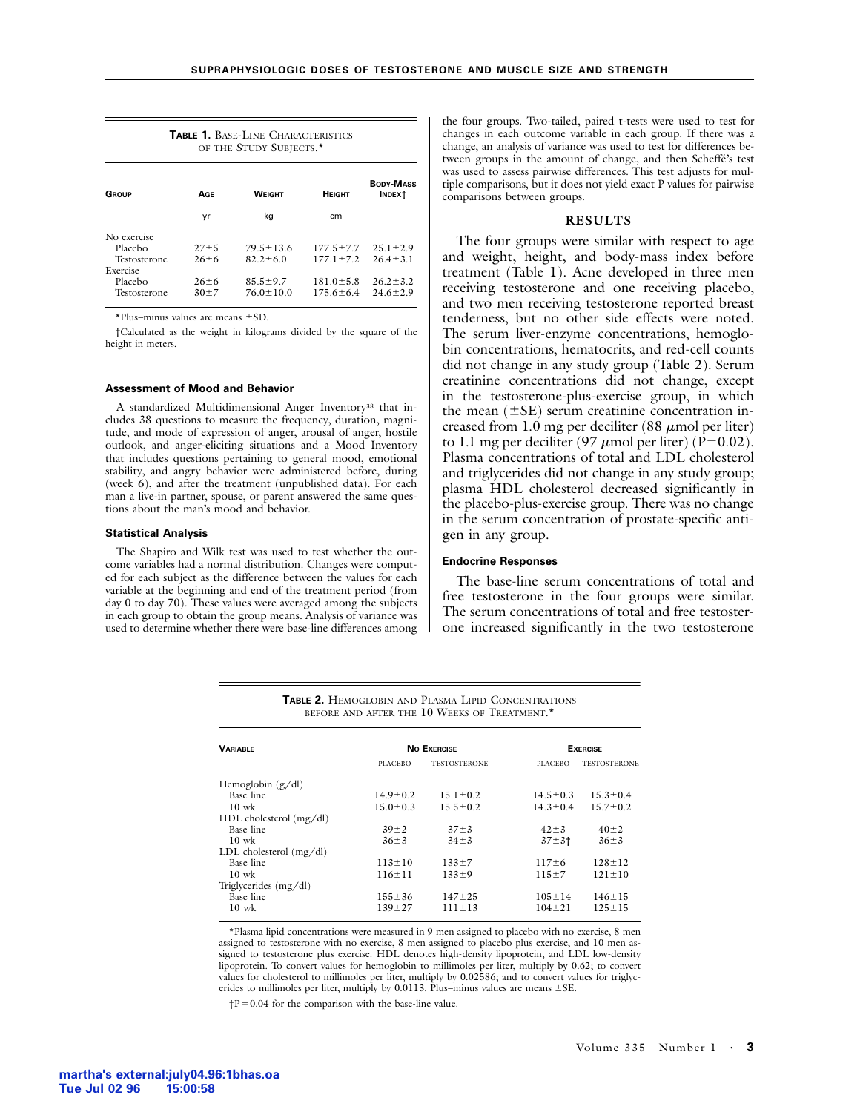| <b>TABLE 1. BASE-LINE CHARACTERISTICS</b><br>OF THE STUDY SUBJECTS.* |            |                 |                 |                                        |  |
|----------------------------------------------------------------------|------------|-----------------|-----------------|----------------------------------------|--|
| <b>GROUP</b>                                                         | AGE        | <b>WEIGHT</b>   | <b>HEIGHT</b>   | <b>BODY-MASS</b><br>INDEX <sup>†</sup> |  |
|                                                                      | yr         | kg              | cm              |                                        |  |
| No exercise                                                          |            |                 |                 |                                        |  |
| Placebo                                                              | $27 + 5$   | $79.5 \pm 13.6$ | $177.5 \pm 7.7$ | $25.1 \pm 2.9$                         |  |
| Testosterone                                                         | $26 \pm 6$ | $82.2 \pm 6.0$  | $177.1 \pm 7.2$ | $26.4 \pm 3.1$                         |  |
| Exercise                                                             |            |                 |                 |                                        |  |
| Placebo                                                              | $26 \pm 6$ | $85.5 \pm 9.7$  | $181.0 \pm 5.8$ | $26.2 \pm 3.2$                         |  |
| Testosterone                                                         | $30 + 7$   | $76.0 \pm 10.0$ | $175.6 \pm 6.4$ | $24.6 \pm 2.9$                         |  |

 $*$ Plus–minus values are means  $+SD$ 

†Calculated as the weight in kilograms divided by the square of the height in meters.

#### **Assessment of Mood and Behavior**

A standardized Multidimensional Anger Inventory<sup>38</sup> that includes 38 questions to measure the frequency, duration, magnitude, and mode of expression of anger, arousal of anger, hostile outlook, and anger-eliciting situations and a Mood Inventory that includes questions pertaining to general mood, emotional stability, and angry behavior were administered before, during (week 6), and after the treatment (unpublished data). For each man a live-in partner, spouse, or parent answered the same questions about the man's mood and behavior.

#### **Statistical Analysis**

The Shapiro and Wilk test was used to test whether the outcome variables had a normal distribution. Changes were computed for each subject as the difference between the values for each variable at the beginning and end of the treatment period (from day 0 to day 70). These values were averaged among the subjects in each group to obtain the group means. Analysis of variance was used to determine whether there were base-line differences among the four groups. Two-tailed, paired t-tests were used to test for changes in each outcome variable in each group. If there was a change, an analysis of variance was used to test for differences between groups in the amount of change, and then Scheffé's test was used to assess pairwise differences. This test adjusts for multiple comparisons, but it does not yield exact P values for pairwise comparisons between groups.

## **RESULTS**

The four groups were similar with respect to age and weight, height, and body-mass index before treatment (Table 1). Acne developed in three men receiving testosterone and one receiving placebo, and two men receiving testosterone reported breast tenderness, but no other side effects were noted. The serum liver-enzyme concentrations, hemoglobin concentrations, hematocrits, and red-cell counts did not change in any study group (Table 2). Serum creatinine concentrations did not change, except in the testosterone-plus-exercise group, in which the mean  $(\pm SE)$  serum creatinine concentration increased from 1.0 mg per deciliter (88 *m*mol per liter) to 1.1 mg per deciliter (97  $\mu$ mol per liter) (P=0.02). Plasma concentrations of total and LDL cholesterol and triglycerides did not change in any study group; plasma HDL cholesterol decreased significantly in the placebo-plus-exercise group. There was no change in the serum concentration of prostate-specific antigen in any group.

#### **Endocrine Responses**

The base-line serum concentrations of total and free testosterone in the four groups were similar. The serum concentrations of total and free testosterone increased significantly in the two testosterone

| <b>TABLE 2. HEMOGLOBIN AND PLASMA LIPID CONCENTRATIONS</b> |
|------------------------------------------------------------|
| BEFORE AND AFTER THE 10 WEEKS OF TREATMENT.*               |

| <b><i>VARIABLE</i></b>    |                | <b>NO EXERCISE</b>  | <b>EXERCISE</b> |                     |
|---------------------------|----------------|---------------------|-----------------|---------------------|
|                           | PLACEBO        | <b>TESTOSTERONE</b> | PLACEBO         | <b>TESTOSTERONE</b> |
| Hemoglobin $(g/dl)$       |                |                     |                 |                     |
| Base line                 | $14.9 \pm 0.2$ | $15.1 \pm 0.2$      | $14.5 \pm 0.3$  | $15.3 \pm 0.4$      |
| $10 \text{ wk}$           | $15.0 \pm 0.3$ | $15.5 \pm 0.2$      | $14.3 \pm 0.4$  | $15.7 \pm 0.2$      |
| HDL cholesterol (mg/dl)   |                |                     |                 |                     |
| Base line                 | $39 + 2$       | $37 + 3$            | $42 \pm 3$      | $40 \pm 2$          |
| $10 \text{ wk}$           | $36 \pm 3$     | $34 \pm 3$          | $37 + 31$       | $36 \pm 3$          |
| LDL cholesterol $(mg/dl)$ |                |                     |                 |                     |
| Base line                 | $113 \pm 10$   | $133 \pm 7$         | $117 \pm 6$     | $128 \pm 12$        |
| $10 \text{ wk}$           | $116 \pm 11$   | $133+9$             | $115 \pm 7$     | $121 \pm 10$        |
| Triglycerides (mg/dl)     |                |                     |                 |                     |
| Base line                 | $155 \pm 36$   | $147 + 25$          | $105 \pm 14$    | $146 \pm 15$        |
| $10 \text{ wk}$           | $139 + 27$     | $111 \pm 13$        | $104 \pm 21$    | $125 \pm 15$        |

\*Plasma lipid concentrations were measured in 9 men assigned to placebo with no exercise, 8 men assigned to testosterone with no exercise, 8 men assigned to placebo plus exercise, and 10 men assigned to testosterone plus exercise. HDL denotes high-density lipoprotein, and LDL low-density lipoprotein. To convert values for hemoglobin to millimoles per liter, multiply by 0.62; to convert values for cholesterol to millimoles per liter, multiply by 0.02586; and to convert values for triglycerides to millimoles per liter, multiply by 0.0113. Plus–minus values are means  $\pm$ SE.

 $\uparrow$ P=0.04 for the comparison with the base-line value.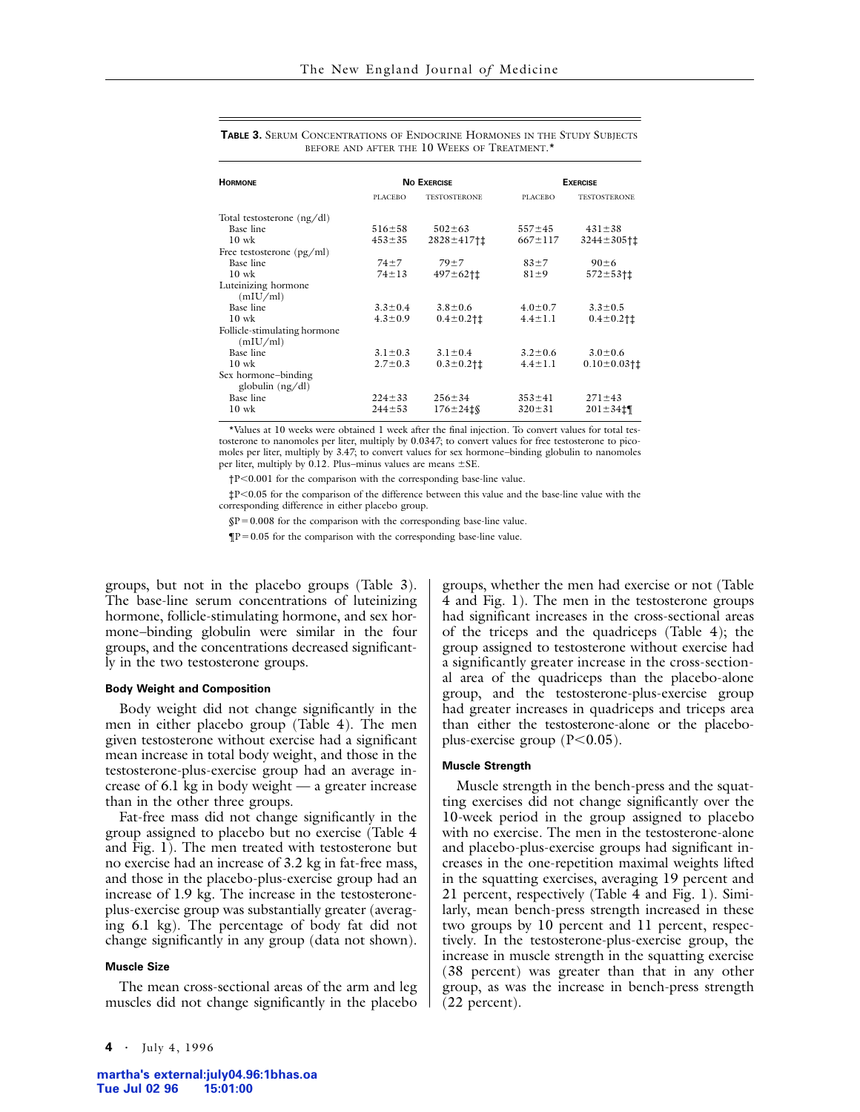| <b>HORMONE</b>                           |               | <b>NO EXERCISE</b>     |                | <b>EXERCISE</b>        |  |
|------------------------------------------|---------------|------------------------|----------------|------------------------|--|
|                                          | PLACEBO.      | <b>TESTOSTERONE</b>    | <b>PLACEBO</b> | <b>TESTOSTERONE</b>    |  |
| Total testosterone (ng/dl)               |               |                        |                |                        |  |
| Base line                                | $516 \pm 58$  | $502 \pm 63$           | $557 + 45$     | $431 \pm 38$           |  |
| $10 \text{ wk}$                          | $453 \pm 35$  | $2828 \pm 417$ † $\pm$ | $667 \pm 117$  | $3244 \pm 305$ † $\pm$ |  |
| Free testosterone $(pg/ml)$              |               |                        |                |                        |  |
| Base line                                | $74 + 7$      | $79 + 7$               | $83+7$         | $90 \pm 6$             |  |
| $10 \text{ wk}$                          | $74 + 13$     | $497 \pm 62$ † $\pm$   | $81 \pm 9$     | $572 + 53 + 1$         |  |
| Luteinizing hormone<br>(mIU/ml)          |               |                        |                |                        |  |
| Base line                                | $3.3 \pm 0.4$ | $3.8 \pm 0.6$          | $4.0 \pm 0.7$  | $3.3 \pm 0.5$          |  |
| $10 \text{ wk}$                          | $4.3 \pm 0.9$ | $0.4 \pm 0.2$ † $\pm$  | $4.4 \pm 1.1$  | $0.4 \pm 0.2$ †1       |  |
| Follicle-stimulating hormone<br>(mIU/ml) |               |                        |                |                        |  |
| Base line                                | $3.1 \pm 0.3$ | $3.1 \pm 0.4$          | $3.2 \pm 0.6$  | $3.0 \pm 0.6$          |  |
| $10 \text{ wk}$                          | $2.7 \pm 0.3$ | $0.3 \pm 0.2$ † $\pm$  | $4.4 \pm 1.1$  | $0.10 \pm 0.03$ †1     |  |
| Sex hormone-binding<br>globulin (ng/dl)  |               |                        |                |                        |  |
| Base line                                | $224 \pm 33$  | $256 \pm 34$           | $353 \pm 41$   | $271 \pm 43$           |  |
| $10 \text{ wk}$                          | $244 \pm 53$  | $176 \pm 241$ \$       | $320 \pm 31$   | $201 \pm 34 \pm 1$     |  |

**TABLE 3.** SERUM CONCENTRATIONS OF ENDOCRINE HORMONES IN THE STUDY SUBJECTS BEFORE AND AFTER THE 10 WEEKS OF TREATMENT.\*

\*Values at 10 weeks were obtained 1 week after the final injection. To convert values for total testosterone to nanomoles per liter, multiply by 0.0347; to convert values for free testosterone to picomoles per liter, multiply by 3.47; to convert values for sex hormone–binding globulin to nanomoles per liter, multiply by  $0.12$ . Plus–minus values are means  $\pm$ SE.

 $\text{+P}$ <0.001 for the comparison with the corresponding base-line value.

‡P,0.05 for the comparison of the difference between this value and the base-line value with the corresponding difference in either placebo group.

 $$P=0.008$  for the comparison with the corresponding base-line value.

 $\P$ P=0.05 for the comparison with the corresponding base-line value.

groups, but not in the placebo groups (Table 3). The base-line serum concentrations of luteinizing hormone, follicle-stimulating hormone, and sex hormone–binding globulin were similar in the four groups, and the concentrations decreased significantly in the two testosterone groups.

# **Body Weight and Composition**

Body weight did not change significantly in the men in either placebo group (Table 4). The men given testosterone without exercise had a significant mean increase in total body weight, and those in the testosterone-plus-exercise group had an average increase of 6.1 kg in body weight — a greater increase than in the other three groups.

Fat-free mass did not change significantly in the group assigned to placebo but no exercise (Table 4 and Fig. 1). The men treated with testosterone but no exercise had an increase of 3.2 kg in fat-free mass, and those in the placebo-plus-exercise group had an increase of 1.9 kg. The increase in the testosteroneplus-exercise group was substantially greater (averaging 6.1 kg). The percentage of body fat did not change significantly in any group (data not shown).

#### **Muscle Size**

The mean cross-sectional areas of the arm and leg muscles did not change significantly in the placebo groups, whether the men had exercise or not (Table 4 and Fig. 1). The men in the testosterone groups had significant increases in the cross-sectional areas of the triceps and the quadriceps (Table 4); the group assigned to testosterone without exercise had a significantly greater increase in the cross-sectional area of the quadriceps than the placebo-alone group, and the testosterone-plus-exercise group had greater increases in quadriceps and triceps area than either the testosterone-alone or the placeboplus-exercise group  $(P<0.05)$ .

## **Muscle Strength**

Muscle strength in the bench-press and the squatting exercises did not change significantly over the 10-week period in the group assigned to placebo with no exercise. The men in the testosterone-alone and placebo-plus-exercise groups had significant increases in the one-repetition maximal weights lifted in the squatting exercises, averaging 19 percent and 21 percent, respectively (Table 4 and Fig. 1). Similarly, mean bench-press strength increased in these two groups by 10 percent and 11 percent, respectively. In the testosterone-plus-exercise group, the increase in muscle strength in the squatting exercise (38 percent) was greater than that in any other group, as was the increase in bench-press strength (22 percent).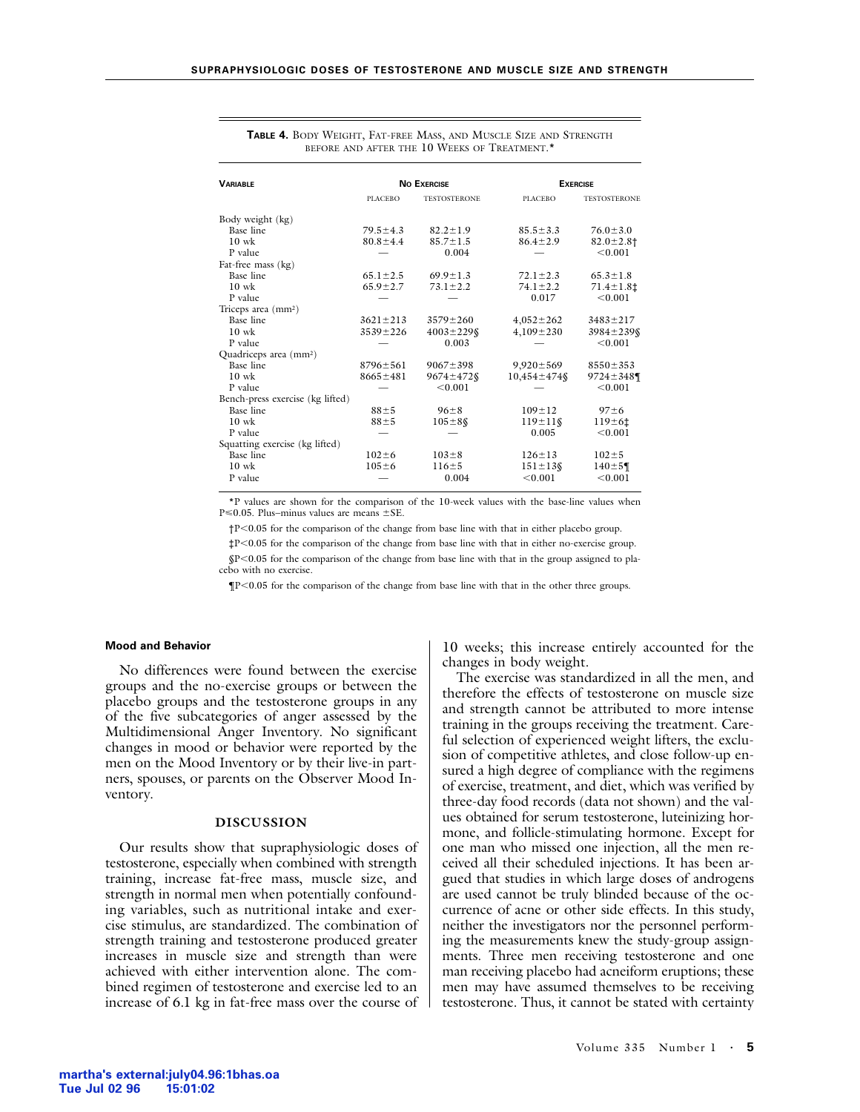| <b>VARIARIF</b>                    |                | <b>NO EXERCISE</b>  |                  | <b>EXERCISE</b>     |  |
|------------------------------------|----------------|---------------------|------------------|---------------------|--|
|                                    | <b>PLACEBO</b> | <b>TESTOSTERONE</b> | <b>PLACEBO</b>   | <b>TESTOSTERONE</b> |  |
| Body weight (kg)                   |                |                     |                  |                     |  |
| Base line                          | $79.5 \pm 4.3$ | $82.2 \pm 1.9$      | $85.5 \pm 3.3$   | $76.0 \pm 3.0$      |  |
| $10 \text{ wk}$                    | $80.8 \pm 4.4$ | $85.7 \pm 1.5$      | $86.4 \pm 2.9$   | $82.0 \pm 2.8$ †    |  |
| P value                            |                | 0.004               |                  | < 0.001             |  |
| Fat-free mass (kg)                 |                |                     |                  |                     |  |
| Base line                          | $65.1 \pm 2.5$ | $69.9 \pm 1.3$      | $72.1 \pm 2.3$   | $65.3 \pm 1.8$      |  |
| $10 \text{ wk}$                    | $65.9 \pm 2.7$ | $73.1 \pm 2.2$      | $74.1 \pm 2.2$   | $71.4 \pm 1.81$     |  |
| P value                            |                |                     | 0.017            | < 0.001             |  |
| Triceps area (mm <sup>2</sup> )    |                |                     |                  |                     |  |
| Base line                          | $3621 \pm 213$ | $3579 \pm 260$      | $4,052 \pm 262$  | $3483 \pm 217$      |  |
| $10 \text{ wk}$                    | $3539 \pm 226$ | $4003 \pm 229$ §    | $4,109 \pm 230$  | $3984 \pm 239$      |  |
| P value                            |                | 0.003               |                  | < 0.001             |  |
| Quadriceps area (mm <sup>2</sup> ) |                |                     |                  |                     |  |
| Base line                          | $8796 \pm 561$ | $9067 \pm 398$      | $9,920 \pm 569$  | $8550 \pm 353$      |  |
| $10 \text{ wk}$                    | $8665 \pm 481$ | 9674±472§           | $10,454 \pm 474$ | 9724±348¶           |  |
| P value                            |                | < 0.001             |                  | < 0.001             |  |
| Bench-press exercise (kg lifted)   |                |                     |                  |                     |  |
| Base line                          | $88 + 5$       | $96 \pm 8$          | $109 \pm 12$     | $97 \pm 6$          |  |
| $10 \text{ wk}$                    | $88 + 5$       | $105 \pm 8$         | $119 \pm 11$ \$  | 119±6‡              |  |
| P value                            |                |                     | 0.005            | < 0.001             |  |
| Squatting exercise (kg lifted)     |                |                     |                  |                     |  |
| Base line                          | $102 \pm 6$    | $103 \pm 8$         | $126 \pm 13$     | $102 \pm 5$         |  |
| $10 \text{ wk}$                    | $105 \pm 6$    | $116 \pm 5$         | $151 \pm 13$     | $140 \pm 5$ ¶       |  |
| P value                            |                | 0.004               | < 0.001          | < 0.001             |  |
|                                    |                |                     |                  |                     |  |

**TABLE 4.** BODY WEIGHT, FAT-FREE MASS, AND MUSCLE SIZE AND STRENGTH BEFORE AND AFTER THE 10 WEEKS OF TREATMENT.\*

\*P values are shown for the comparison of the 10-week values with the base-line values when P $\leq$ 0.05. Plus–minus values are means  $\pm$ SE.

†P,0.05 for the comparison of the change from base line with that in either placebo group.

‡P,0.05 for the comparison of the change from base line with that in either no-exercise group.

 $$P<0.05$  for the comparison of the change from base line with that in the group assigned to placebo with no exercise.

¶P,0.05 for the comparison of the change from base line with that in the other three groups.

#### **Mood and Behavior**

No differences were found between the exercise groups and the no-exercise groups or between the placebo groups and the testosterone groups in any of the five subcategories of anger assessed by the Multidimensional Anger Inventory. No significant changes in mood or behavior were reported by the men on the Mood Inventory or by their live-in partners, spouses, or parents on the Observer Mood Inventory.

#### **DISCUSSION**

Our results show that supraphysiologic doses of testosterone, especially when combined with strength training, increase fat-free mass, muscle size, and strength in normal men when potentially confounding variables, such as nutritional intake and exercise stimulus, are standardized. The combination of strength training and testosterone produced greater increases in muscle size and strength than were achieved with either intervention alone. The combined regimen of testosterone and exercise led to an increase of 6.1 kg in fat-free mass over the course of

10 weeks; this increase entirely accounted for the changes in body weight.

The exercise was standardized in all the men, and therefore the effects of testosterone on muscle size and strength cannot be attributed to more intense training in the groups receiving the treatment. Careful selection of experienced weight lifters, the exclusion of competitive athletes, and close follow-up ensured a high degree of compliance with the regimens of exercise, treatment, and diet, which was verified by three-day food records (data not shown) and the values obtained for serum testosterone, luteinizing hormone, and follicle-stimulating hormone. Except for one man who missed one injection, all the men received all their scheduled injections. It has been argued that studies in which large doses of androgens are used cannot be truly blinded because of the occurrence of acne or other side effects. In this study, neither the investigators nor the personnel performing the measurements knew the study-group assignments. Three men receiving testosterone and one man receiving placebo had acneiform eruptions; these men may have assumed themselves to be receiving testosterone. Thus, it cannot be stated with certainty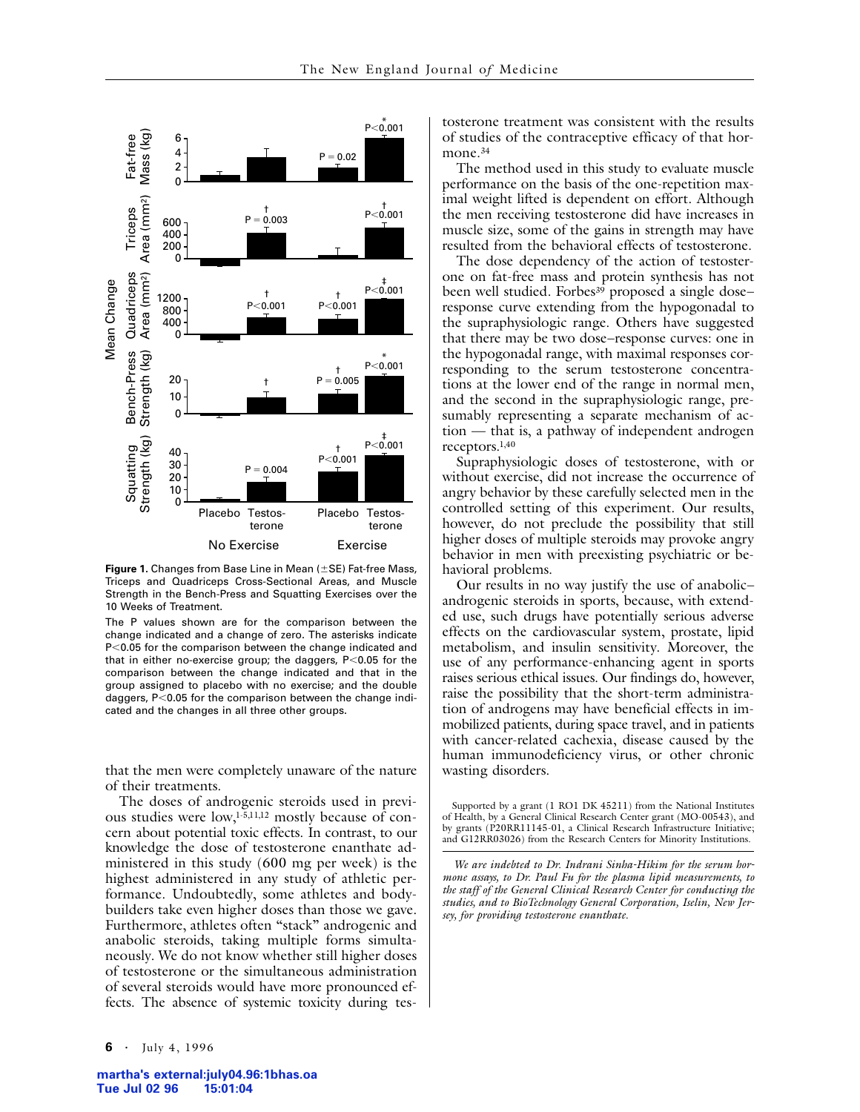

Figure 1. Changes from Base Line in Mean (±SE) Fat-free Mass, Triceps and Quadriceps Cross-Sectional Areas, and Muscle Strength in the Bench-Press and Squatting Exercises over the 10 Weeks of Treatment.

The P values shown are for the comparison between the change indicated and a change of zero. The asterisks indicate P<0.05 for the comparison between the change indicated and that in either no-exercise group; the daggers,  $P<0.05$  for the comparison between the change indicated and that in the group assigned to placebo with no exercise; and the double daggers,  $P<0.05$  for the comparison between the change indicated and the changes in all three other groups.

that the men were completely unaware of the nature of their treatments.

The doses of androgenic steroids used in previous studies were low,1-5,11,12 mostly because of concern about potential toxic effects. In contrast, to our knowledge the dose of testosterone enanthate administered in this study (600 mg per week) is the highest administered in any study of athletic performance. Undoubtedly, some athletes and bodybuilders take even higher doses than those we gave. Furthermore, athletes often "stack" androgenic and anabolic steroids, taking multiple forms simultaneously. We do not know whether still higher doses of testosterone or the simultaneous administration of several steroids would have more pronounced effects. The absence of systemic toxicity during testosterone treatment was consistent with the results of studies of the contraceptive efficacy of that hormone.<sup>34</sup>

The method used in this study to evaluate muscle performance on the basis of the one-repetition maximal weight lifted is dependent on effort. Although the men receiving testosterone did have increases in muscle size, some of the gains in strength may have resulted from the behavioral effects of testosterone.

The dose dependency of the action of testosterone on fat-free mass and protein synthesis has not been well studied. Forbes<sup>39</sup> proposed a single doseresponse curve extending from the hypogonadal to the supraphysiologic range. Others have suggested that there may be two dose–response curves: one in the hypogonadal range, with maximal responses corresponding to the serum testosterone concentrations at the lower end of the range in normal men, and the second in the supraphysiologic range, presumably representing a separate mechanism of action — that is, a pathway of independent androgen receptors.1,40

Supraphysiologic doses of testosterone, with or without exercise, did not increase the occurrence of angry behavior by these carefully selected men in the controlled setting of this experiment. Our results, however, do not preclude the possibility that still higher doses of multiple steroids may provoke angry behavior in men with preexisting psychiatric or behavioral problems.

Our results in no way justify the use of anabolic– androgenic steroids in sports, because, with extended use, such drugs have potentially serious adverse effects on the cardiovascular system, prostate, lipid metabolism, and insulin sensitivity. Moreover, the use of any performance-enhancing agent in sports raises serious ethical issues. Our findings do, however, raise the possibility that the short-term administration of androgens may have beneficial effects in immobilized patients, during space travel, and in patients with cancer-related cachexia, disease caused by the human immunodeficiency virus, or other chronic wasting disorders.

Supported by a grant (1 RO1 DK 45211) from the National Institutes of Health, by a General Clinical Research Center grant (MO-00543), and by grants (P20RR11145-01, a Clinical Research Infrastructure Initiative; and G12RR03026) from the Research Centers for Minority Institutions.

*We are indebted to Dr. Indrani Sinha-Hikim for the serum hormone assays, to Dr. Paul Fu for the plasma lipid measurements, to the staff of the General Clinical Research Center for conducting the studies, and to BioTechnology General Corporation, Iselin, New Jersey, for providing testosterone enanthate.*